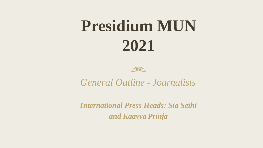# **Presidium MUN 2021**



*General Outline - Journalists*

*International Press Heads: Sia Sethi and Kaavya Prinja*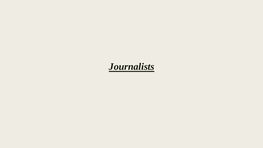# *Journalists*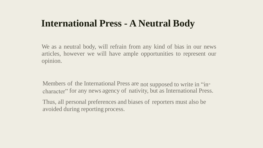#### **International Press - A Neutral Body**

We as a neutral body, will refrain from any kind of bias in our news articles, however we will have ample opportunities to represent our opinion.

Members of the International Press are not supposed to write in "incharacter" for any news agency of nativity, but as International Press.

Thus, all personal preferences and biases of reporters must also be avoided during reporting process.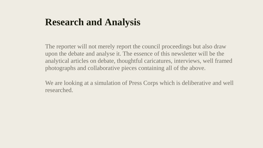# **Research and Analysis**

The reporter will not merely report the council proceedings but also draw upon the debate and analyse it. The essence of this newsletter will be the analytical articles on debate, thoughtful caricatures, interviews, well framed photographs and collaborative pieces containing all of the above.

We are looking at a simulation of Press Corps which is deliberative and well researched.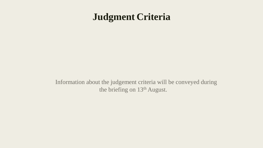#### **Judgment Criteria**

Information about the judgement criteria will be conveyed during the briefing on 13<sup>th</sup> August.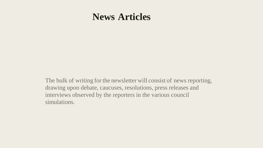#### **News Articles**

The bulk of writing for the newsletter will consist of news reporting, drawing upon debate, caucuses, resolutions, press releases and interviews observed by the reporters in the various council simulations.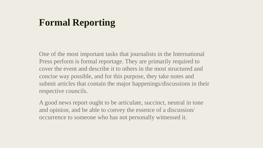# **Formal Reporting**

One of the most important tasks that journalists in the International Press perform is formal reportage. They are primarily required to cover the event and describe it to others in the most structured and concise way possible, and for this purpose, they take notes and submit articles that contain the major happenings/discussions in their respective councils.

A good news report ought to be articulate, succinct, neutral in tone and opinion, and be able to convey the essence of a discussion/ occurrence to someone who has not personally witnessed it.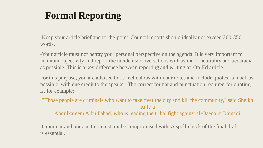# **Formal Reporting**

-Keep your article brief and to-the-point. Council reports should ideally not exceed 300-350 words.

-Your article must not betray your personal perspective on the agenda. It is very important to maintain objectivity and report the incidents/conversations with as much neutrality and accuracy as possible. This is a key difference between reporting and writing an Op-Ed article.

For this purpose, you are advised to be meticulous with your notes and include quotes as much as possible, with due credit to the speaker. The correct format and punctuation required for quoting is, for example:

"Those people are criminals who want to take over the city and kill the community," said Sheikh Rafe'a

Abdulkareem Albu Fahad, who is leading the tribal fight against al-Qaeda in Ramadi.

-Grammar and punctuation must not be compromised with. A spell-check of the final draft is essential.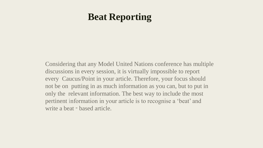#### **Beat Reporting**

Considering that any Model United Nations conference has multiple discussions in every session, it is virtually impossible to report every Caucus/Point in your article. Therefore, your focus should not be on putting in as much information as you can, but to put in only the relevant information. The best way to include the most pertinent information in your article is to recognise a 'beat' and write a beat - based article.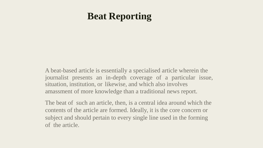#### **Beat Reporting**

A beat-based article is essentially a specialised article wherein the journalist presents an in-depth coverage of a particular issue, situation, institution, or likewise, and which also involves amassment of more knowledge than a traditional news report.

The beat of such an article, then, is a central idea around which the contents of the article are formed. Ideally, it is the core concern or subject and should pertain to every single line used in the forming of the article.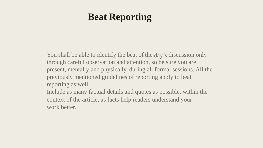# **Beat Reporting**

You shall be able to identify the beat of the day's discussion only through careful observation and attention, so be sure you are present, mentally and physically, during all formal sessions. All the previously mentioned guidelines of reporting apply to beat reporting as well.

Include as many factual details and quotes as possible, within the context of the article, as facts help readers understand your work better.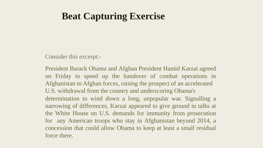Consider this excerpt:-

President Barack Obama and Afghan President Hamid Karzai agreed on Friday to speed up the handover of combat operations in Afghanistan to Afghan forces, raising the prospect of an accelerated U.S. withdrawal from the country and underscoring Obama's determination to wind down a long, unpopular war. Signalling a narrowing of differences, Karzai appeared to give ground in talks at the White House on U.S. demands for immunity from prosecution for any American troops who stay in Afghanistan beyond 2014, a concession that could allow Obama to keep at least a small residual force there.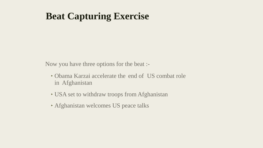Now you have three options for the beat :-

- ‣ Obama Karzai accelerate the end of US combat role in Afghanistan
- ‣ USA set to withdraw troops from Afghanistan
- ‣ Afghanistan welcomes US peace talks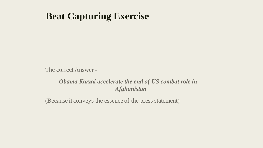The correct Answer -

#### *Obama Karzai accelerate the end of US combat role in Afghanistan*

(Because it conveys the essence of the press statement)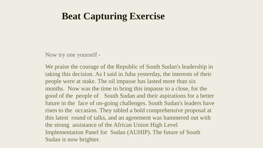Now try one yourself -

We praise the courage of the Republic of South Sudan's leadership in taking this decision. As I said in Juba yesterday, the interests of their people were at stake. The oil impasse has lasted more than six months. Now was the time to bring this impasse to a close, for the good of the people of South Sudan and their aspirations for a better future in the face of on-going challenges. South Sudan's leaders have risen to the occasion. They tabled a bold comprehensive proposal at this latest round of talks, and an agreement was hammered out with the strong assistance of the African Union High Level Implementation Panel for Sudan (AUHIP). The future of South Sudan is now brighter.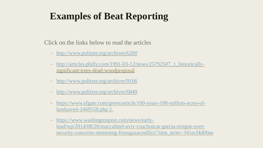# **Examples of Beat Reporting**

Click on the links below to read the articles

- <http://www.pulitzer.org/archives/6200>
- [http://articles.philly.com/1991-03-12/news/25792507\\_1\\_historically](http://articles.philly.com/1991-03-12/news/25792507_1_historically-)significant-trees-dead-woodproposal
- ‣ <http://www.pulitzer.org/archives/9166>
- ‣ <http://www.pulitzer.org/archives/6849>
- [https://www.sfgate.com/green/article/100-years-100-million-acres-of](https://www.sfgate.com/green/article/100-years-100-million-acres-of-land-saved-2469558.php%202)landsaved-2469558.php 2.
- ‣ https://www.washingtonpost.com/news/earlylead/wp/2014/08/26/maccabitel-aviv-coachoscar-garcia-resigns-over[security-concerns-stemming-fromgazaconflict/?utm\\_term=.f41ecf4d00ae](https://www.washingtonpost.com/news/early-lead/wp/2014/08/26/maccabi-tel-aviv-coachoscar-garcia-resigns-over-security-concerns-stemming-from-gazaconflict/?utm_term=.f41ecf4d00ae)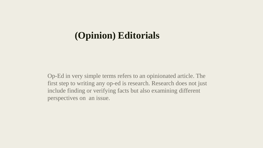Op-Ed in very simple terms refers to an opinionated article. The first step to writing any op-ed is research. Research does not just include finding or verifying facts but also examining different perspectives on an issue.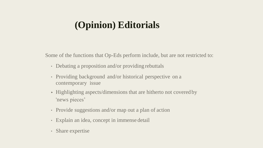Some of the functions that Op-Eds perform include, but are not restricted to:

- Debating a proposition and/or providing rebuttals
- ‣ Providing background and/or historical perspective on a contemporary issue
- ‣ Highlighting aspects/dimensions that are hitherto not covered by 'news pieces'
- Provide suggestions and/or map out a plan of action
- ‣ Explain an idea, concept in immense detail
- ‣ Share expertise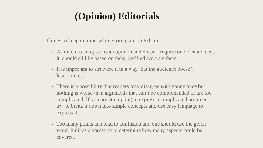Things to keep in mind while writing an Op-Ed are-

- ‣ As much as an op-ed is an opinion and doesn't require one to state facts, it should still be based on facts, verified accurate facts.
- $\triangleright$  It is important to structure it in a way that the audience doesn't lose interest.
- There is a possibility that readers may disagree with your stance but nothing is worse than arguments that can't be comprehended or are too complicated. If you are attempting to express a complicated argument, try to break it down into simple concepts and use easy language to express it.
- Too many points can lead to confusion and one should use the given word limit as a yardstick to determine how many aspects could be covered.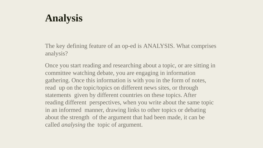# **Analysis**

The key defining feature of an op-ed is ANALYSIS. What comprises analysis?

Once you start reading and researching about a topic, or are sitting in committee watching debate, you are engaging in information gathering. Once this information is with you in the form of notes, read up on the topic/topics on different news sites, or through statements given by different countries on these topics. After reading different perspectives, when you write about the same topic in an informed manner, drawing links to other topics or debating about the strength of the argument that had been made, it can be called *analysing* the topic of argument.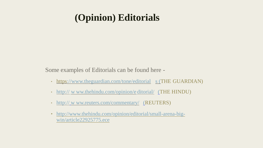Some examples of Editorials can be found here -

- http[s://www.theguardian.com/tone/editorial](http://www.theguardian.com/tone/editorials) [s \(](http://www.theguardian.com/tone/editorials)THE GUARDIAN)
- http:// w [ww.thehindu.com/opinion/e](http://www.thehindu.com/opinion/editorial/) ditorial/ [\(T](http://www.thehindu.com/opinion/editorial/)HE HINDU)
- http://w[ww.reuters.com/commentary/](http://www.reuters.com/commentary/) [\(](http://www.reuters.com/commentary/)REUTERS)
- ‣ [http://www.thehindu.com/opinion/editorial/small-arena-big](http://www.thehindu.com/opinion/editorial/small-arena-big-win/article22925775.ece)win/article22925775.ece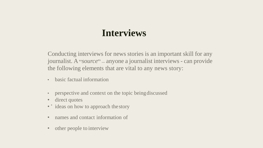# **Interviews**

Conducting interviews for news stories is an important skill for any journalist. A "*source*" – anyone a journalist interviews - can provide the following elements that are vital to any news story:

- basic factual information
- perspective and context on the topic being discussed
- direct quotes
- 'ideas on how to approach the story
- names and contact information of
- other people to interview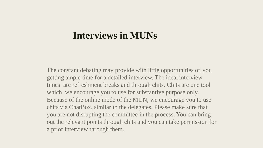#### **Interviews in MUNs**

The constant debating may provide with little opportunities of you getting ample time for a detailed interview. The ideal interview times are refreshment breaks and through chits. Chits are one tool which we encourage you to use for substantive purpose only. Because of the online mode of the MUN, we encourage you to use chits via ChatBox, similar to the delegates. Please make sure that you are not disrupting the committee in the process. You can bring out the relevant points through chits and you can take permission for a prior interview through them.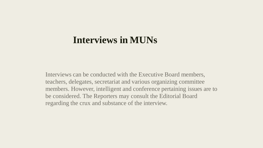#### **Interviews in MUNs**

Interviews can be conducted with the Executive Board members, teachers, delegates, secretariat and various organizing committee members. However, intelligent and conference pertaining issues are to be considered. The Reporters may consult the Editorial Board regarding the crux and substance of the interview.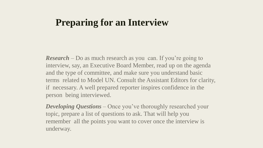#### **Preparing for an Interview**

*Research* – Do as much research as you can. If you're going to interview, say, an Executive Board Member, read up on the agenda and the type of committee, and make sure you understand basic terms related to Model UN. Consult the Assistant Editors for clarity, if necessary. A well prepared reporter inspires confidence in the person being interviewed.

*Developing Questions* – Once you've thoroughly researched your topic, prepare a list of questions to ask. That will help you remember all the points you want to cover once the interview is underway.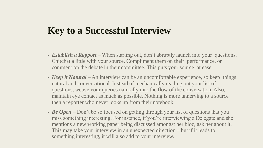# **Key to a Successful Interview**

- ‣ *Establish a Rapport*  When starting out, don't abruptly launch into your questions. Chitchat a little with your source. Compliment them on their performance, or comment on the debate in their committee. This puts your source at ease.
- *Keep it Natural* An interview can be an uncomfortable experience, so keep things natural and conversational. Instead of mechanically reading out your list of questions, weave your queries naturally into the flow of the conversation. Also, maintain eye contact as much as possible. Nothing is more unnerving to a source then a reporter who never looks up from their notebook.
- **Be Open** Don't be so focused on getting through your list of questions that you miss something interesting. For instance, if you're interviewing a Delegate and she mentions a new working paper being discussed amongst her bloc, ask her about it. This may take your interview in an unexpected direction – but if it leads to something interesting, it will also add to your interview.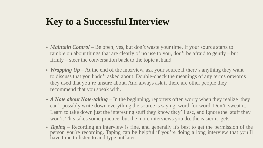# **Key to a Successful Interview**

- *Maintain Control* Be open, yes, but don't waste your time. If your source starts to ramble on about things that are clearly of no use to you, don't be afraid to gently – but firmly – steer the conversation back to the topic at hand.
- *Wrapping Up* At the end of the interview, ask your source if there's anything they want to discuss that you hadn't asked about. Double-check the meanings of any terms orwords they used that you're unsure about. And always ask if there are other people they recommend that you speak with.
- *A Note about Note-taking* In the beginning, reporters often worry when they realize they can't possibly write down everything the source is saying, word-for-word. Don't sweat it. Learn to take down just the interesting stuff they know they'll use, and ignore the stuff they won't. This takes some practice, but the more interviews you do, the easier it gets.
- **Taping** Recording an interview is fine, and generally it's best to get the permission of the person you're recording. Taping can be helpful if you're doing a long interview that you'll have time to listen to and type out later.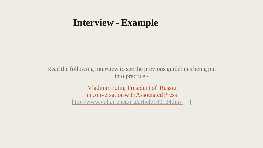#### **Interview -Example**

Read the following Interview to see the previous guidelines being put into practice -

> Vladimir Putin, President of Russia in conversationwithAssociated Press [http://www.voltairenet.org/article180124.htm](http://www.voltairenet.org/article180124.html) 1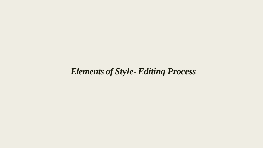#### *Elements of Style-Editing Process*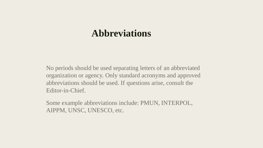#### **Abbreviations**

No periods should be used separating letters of an abbreviated organization or agency. Only standard acronyms and approved abbreviations should be used. If questions arise, consult the Editor-in-Chief.

Some example abbreviations include: PMUN, INTERPOL, AIPPM, UNSC, UNESCO, etc.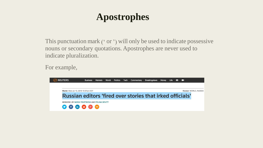# **Apostrophes**

This punctuation mark (' or ') will only be used to indicate possessive nouns or secondary quotations. Apostrophes are never used to indicate pluralization.

For example,

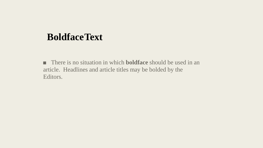#### **BoldfaceText**

■ There is no situation in which **boldface** should be used in an article. Headlines and article titles may be bolded by the Editors.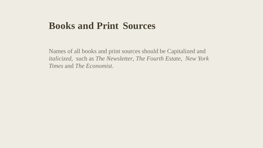#### **Books and Print Sources**

Names of all books and print sources should be Capitalized and *italicized*, such as *The Newsletter*, *The Fourth Estate*, *New York Times* and *The Economist*.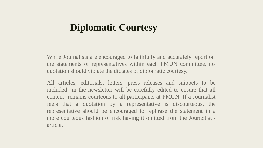#### **Diplomatic Courtesy**

While Journalists are encouraged to faithfully and accurately report on the statements of representatives within each PMUN committee, no quotation should violate the dictates of diplomatic courtesy.

All articles, editorials, letters, press releases and snippets to be included in the newsletter will be carefully edited to ensure that all content remains courteous to all participants at PMUN. If a Journalist feels that a quotation by a representative is discourteous, the representative should be encouraged to rephrase the statement in a more courteous fashion or risk having it omitted from the Journalist's article.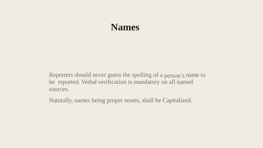#### **Names**

Reporters should never guess the spelling of a person's name to be reported. Verbal verification is mandatory on all named sources.

Naturally, names being proper nouns, shall be Capitalized.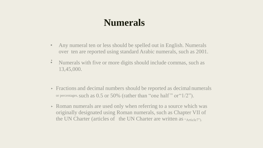# **Numerals**

- Any numeral ten or less should be spelled out in English. Numerals over ten are reported using standard Arabic numerals, such as 2001.
- $\bullet$ • Numerals with five or more digits should include commas, such as 13,45,000.
- ‣ Fractions and decimal numbers should be reported as decimal numerals or percentages, such as  $0.5$  or  $50\%$  (rather than "one half" or " $1/2$ ").
- Roman numerals are used only when referring to a source which was originally designated using Roman numerals, such as Chapter VII of the UN Charter (articles of the UN Charter are written as "Article7").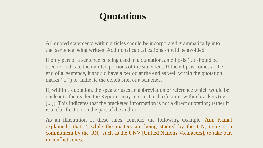# **Quotations**

All quoted statements within articles should be incorporated grammatically into the sentence being written. Additional capitalizations should be avoided.

If only part of a sentence is being used in a quotation, an ellipsis (...) should be used to indicate the omitted portions of the statement. If the ellipsis comes at the end of a sentence, it should have a period at the end as well within the quotation marks  $(...")$  to indicate the conclusion of a sentence.

If, within a quotation, the speaker uses an abbreviation or reference which would be unclear to the reader, the Reporter may interject a clarification within brackets (i.e. : [...]). This indicates that the bracketed information is not a direct quotation; rather it is a clarification on the part of the author.

As an illustration of these rules, consider the following example. Am. Kamal explained that "...while the matters are being studied by the UN, there is a commitment by the UN, such as the UNV [United Nations Volunteers], to take part in conflict zones.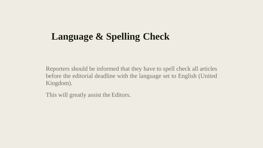# **Language & Spelling Check**

Reporters should be informed that they have to spell check all articles before the editorial deadline with the language set to English (United Kingdom).

This will greatly assist the Editors.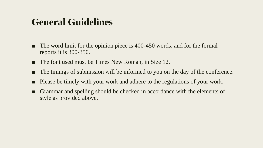#### **General Guidelines**

- The word limit for the opinion piece is 400-450 words, and for the formal reports it is 300-350.
- The font used must be Times New Roman, in Size 12.
- The timings of submission will be informed to you on the day of the conference.
- Please be timely with your work and adhere to the regulations of your work.
- Grammar and spelling should be checked in accordance with the elements of style as provided above.